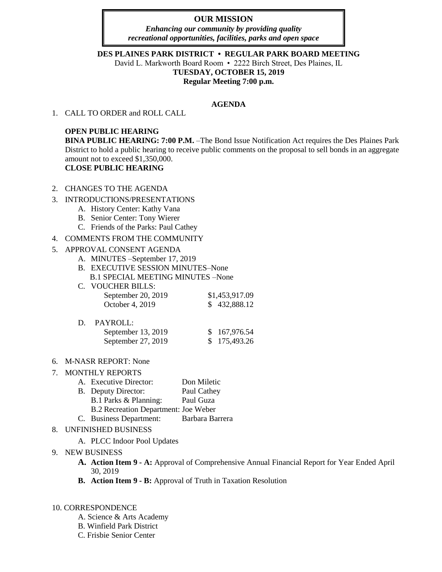# **OUR MISSION**

*Enhancing our community by providing quality recreational opportunities, facilities, parks and open space*

## **DES PLAINES PARK DISTRICT • REGULAR PARK BOARD MEETING**

David L. Markworth Board Room • 2222 Birch Street, Des Plaines, IL **TUESDAY, OCTOBER 15, 2019 Regular Meeting 7:00 p.m.**

#### **AGENDA**

1. CALL TO ORDER and ROLL CALL

## **OPEN PUBLIC HEARING**

**BINA PUBLIC HEARING: 7:00 P.M.** –The Bond Issue Notification Act requires the Des Plaines Park District to hold a public hearing to receive public comments on the proposal to sell bonds in an aggregate amount not to exceed \$1,350,000. **CLOSE PUBLIC HEARING**

- 2. CHANGES TO THE AGENDA
- 3. INTRODUCTIONS/PRESENTATIONS
	- A. History Center: Kathy Vana
	- B. Senior Center: Tony Wierer
	- C. Friends of the Parks: Paul Cathey

## 4. COMMENTS FROM THE COMMUNITY

## 5. APPROVAL CONSENT AGENDA

- A. MINUTES –September 17, 2019
- B. EXECUTIVE SESSION MINUTES–None B.1 SPECIAL MEETING MINUTES –None
- C. VOUCHER BILLS: September 20, 2019 \$1,453,917.09 October 4, 2019 \$ 432,888.12

| D. | PAYROLL:           |              |
|----|--------------------|--------------|
|    | September 13, 2019 | \$167,976.54 |
|    | September 27, 2019 | \$175,493.26 |

6. M-NASR REPORT: None

# 7. MONTHLY REPORTS

- A. Executive Director: Don Miletic
- B. Deputy Director: Paul Cathey
	- B.1 Parks & Planning: Paul Guza
	- B.2 Recreation Department: Joe Weber
- C. Business Department: Barbara Barrera

# 8. UNFINISHED BUSINESS

A. PLCC Indoor Pool Updates

# 9. NEW BUSINESS

- **A. Action Item 9 - A:** Approval of Comprehensive Annual Financial Report for Year Ended April 30, 2019
- **B. Action Item 9 - B:** Approval of Truth in Taxation Resolution

## 10. CORRESPONDENCE

- A. Science & Arts Academy
- B. Winfield Park District
- C. Frisbie Senior Center